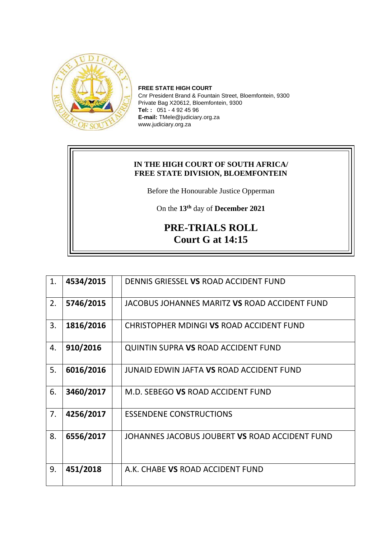

**FREE STATE HIGH COURT** Cnr President Brand & Fountain Street, Bloemfontein, 9300 Private Bag X20612, Bloemfontein, 9300 **Tel: :** 051 - 4 92 45 96 **E-mail:** TMele@judiciary.org.za www.judiciary.org.za

## **IN THE HIGH COURT OF SOUTH AFRICA/ FREE STATE DIVISION, BLOEMFONTEIN**

Before the Honourable Justice Opperman

On the **13th** day of **December 2021**

## **PRE-TRIALS ROLL Court G at 14:15**

| 1. | 4534/2015 | DENNIS GRIESSEL VS ROAD ACCIDENT FUND          |
|----|-----------|------------------------------------------------|
| 2. | 5746/2015 | JACOBUS JOHANNES MARITZ VS ROAD ACCIDENT FUND  |
| 3. | 1816/2016 | CHRISTOPHER MDINGI VS ROAD ACCIDENT FUND       |
| 4. | 910/2016  | <b>QUINTIN SUPRA VS ROAD ACCIDENT FUND</b>     |
| 5. | 6016/2016 | JUNAID EDWIN JAFTA VS ROAD ACCIDENT FUND       |
| 6. | 3460/2017 | M.D. SEBEGO VS ROAD ACCIDENT FUND              |
| 7. | 4256/2017 | <b>ESSENDENE CONSTRUCTIONS</b>                 |
| 8. | 6556/2017 | JOHANNES JACOBUS JOUBERT VS ROAD ACCIDENT FUND |
| 9. | 451/2018  | A.K. CHABE VS ROAD ACCIDENT FUND               |